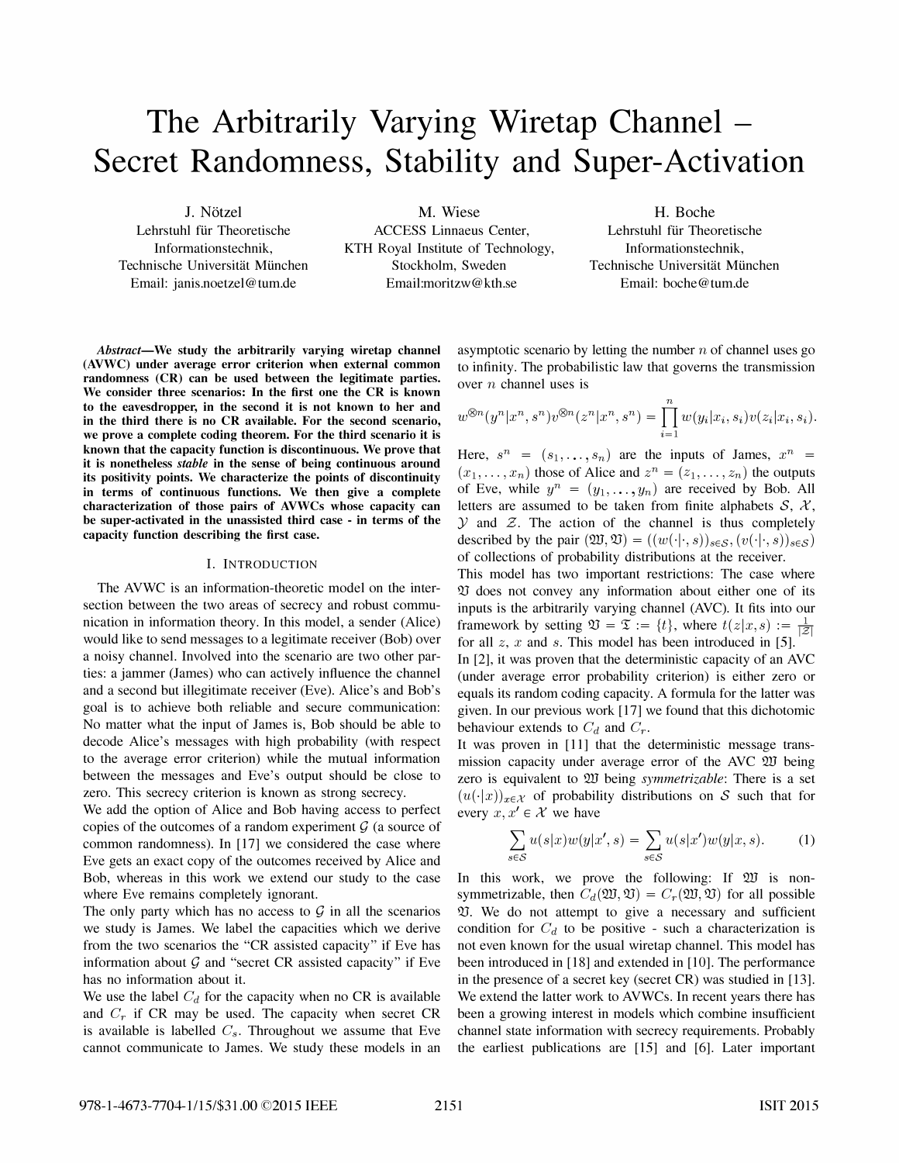# The Arbitrarily Varying Wiretap Channel – Secret Randomness, Stability and Super-Activation

Lehrstuhl für Theoretische Informationstechnik, Technische Universität München Email: janis.noetzel@tum.de

1. Notzel M. Wiese H. Boche ACCESS Linnaeus Center, KTH Royal Institute of Technology, Stockholm, Sweden Email:moritzw@kth.se

Lehrstuhl für Theoretische Informationstechnik, Technische Universität München Email: boche@tum.de

Abstract—We study the arbitrarily varying wiretap channel (AVWC) under average error criterion when external common randomness (CR) can be used between the legitimate parties. We consider three scenarios: In the first one the CR is known to the eavesdropper, in the second it is not known to her and in the third there is no CR available. For the second scenario, we prove a complete coding theorem. For the third scenario it is known that the capacity function is discontinuous. We prove that it is nonetheless stable in the sense of being continuous around its positivity points. We characterize the points of discontinuity in terms of continuous functions. We then give a complete characterization of those pairs of AVWCs whose capacity can be super-activated in the unassisted third case - in terms of the capacity function describing the first case.

#### I. INTRODUCTION

The AVWC is an information-theoretic model on the intersection between the two areas of secrecy and robust communication in information theory. In this model, a sender (Alice) would like to send messages to a legitimate receiver (Bob) over a noisy channel. Involved into the scenario are two other parties: a jammer (James) who can actively influence the channel and a second but illegitimate receiver (Eve). Alice's and Bob's goal is to achieve both reliable and secure communication: No matter what the input of James is, Bob should be able to decode Alice's messages with high probability (with respect to the average error criterion) while the mutual information between the messages and Eve's output should be close to zero. This secrecy criterion is known as strong secrecy.

We add the option of Alice and Bob having access to perfect copies of the outcomes of a random experiment  $\mathcal G$  (a source of common randomness). In [17] we considered the case where Eve gets an exact copy of the outcomes received by Alice and Bob, whereas in this work we extend our study to the case where Eve remains completely ignorant.

The only party which has no access to  $G$  in all the scenarios we study is James. We label the capacities which we derive from the two scenarios the "CR assisted capacity" if Eve has information about  $\mathcal G$  and "secret CR assisted capacity" if Eve has no information about it.

We use the label  $C_d$  for the capacity when no CR is available and  $C_r$  if CR may be used. The capacity when secret CR is available is labelled  $C_s$ . Throughout we assume that Eve cannot communicate to James. We study these models in an asymptotic scenario by letting the number  $n$  of channel uses go to infinity. The probabilistic law that governs the transmission over n channel uses is

$$
w^{\otimes n}(y^n|x^n,s^n)v^{\otimes n}(z^n|x^n,s^n)=\prod_{i=1}^n w(y_i|x_i,s_i)v(z_i|x_i,s_i).
$$

Here,  $s^n = (s_1, \ldots, s_n)$  are the inputs of James,  $x^n = (s_1, \ldots, s_n)$  $(x_1, \ldots, x_n)$  those of Alice and  $z^n = (z_1, \ldots, z_n)$  the outputs of Eve, while  $y^n = (y_1, \dots, y_n)$  are received by Bob. All letters are assumed to be taken from finite alphabets  $S, X$ ,  $Y$  and  $Z$ . The action of the channel is thus completely described by the pair  $(\mathfrak{W},\mathfrak{V}) = ((w(\cdot|\cdot,s))_{s\in\mathcal{S}}, (v(\cdot|\cdot,s))_{s\in\mathcal{S}})$ of collections of probability distributions at the receiver.

This model has two important restrictions: The case where  $\mathfrak V$  does not convey any information about either one of its inputs is the arbitrarily varying channel (AVC). It fits into our framework by setting  $\mathfrak{V} = \mathfrak{T} := \{t\}$ , where  $t(z|x, s) := \frac{1}{|\mathcal{Z}|}$ for all  $z$ ,  $x$  and  $s$ . This model has been introduced in [5]. In [2], it was proven that the deterministic capacity of an AVC (under average error probability criterion) is either zero or equals its random coding capacity. A formula for the latter was given. In our previous work [17] we found that this dichotomic behaviour extends to  $C_d$  and  $C_r$ .

It was proven in [11] that the deterministic message transmission capacity under average error of the AVC W being zero is equivalent to 200 being *symmetrizable*: There is a set  $(u(\cdot|x))_{x\in\mathcal{X}}$  of probability distributions on S such that for every  $x, x' \in \mathcal{X}$  we have

$$
\sum_{s \in \mathcal{S}} u(s|x)w(y|x',s) = \sum_{s \in \mathcal{S}} u(s|x')w(y|x,s).
$$
 (1)

In this work, we prove the following: If  $\mathfrak W$  is nonsymmetrizable, then  $C_d(\mathfrak{W}, \mathfrak{V}) = C_r(\mathfrak{W}, \mathfrak{V})$  for all possible QJ. We do not attempt to give a necessary and sufficient condition for  $C_d$  to be positive - such a characterization is not even known for the usual wiretap channel. This model has been introduced in [18] and extended in [10]. The performance in the presence of a secret key (secret CR) was studied in [13]. We extend the latter work to AVWCs. In recent years there has been a growing interest in models which combine insufficient channel state information with secrecy requirements. Probably the earliest publications are [15] and [6]. Later important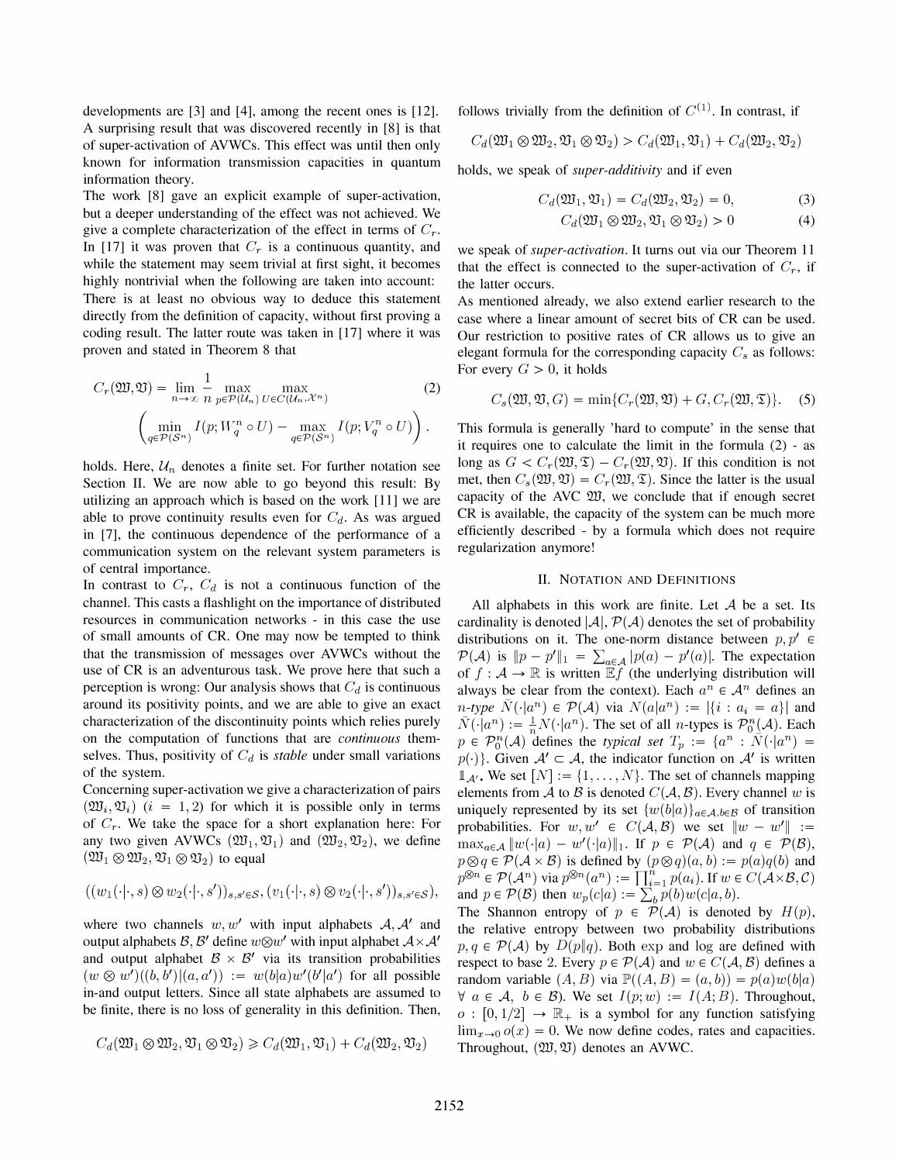developments are [3] and [4], among the recent ones is [12]. A surprising result that was discovered recently in [8] is that of super-activation of AVWCs. This effect was until then only known for information transmission capacities in quantum information theory.

The work [8] gave an explicit example of super-activation, but a deeper understanding of the effect was not achieved. We give a complete characterization of the effect in terms of  $C_r$ . In [17] it was proven that  $C_r$  is a continuous quantity, and while the statement may seem trivial at first sight, it becomes highly nontrivial when the following are taken into account: There is at least no obvious way to deduce this statement directly from the definition of capacity, without first proving a coding result. The latter route was taken in [17] where it was proven and stated in Theorem 8 that

$$
C_r(\mathfrak{W}, \mathfrak{V}) = \lim_{n \to \infty} \frac{1}{n} \max_{p \in \mathcal{P}(\mathcal{U}_n)} \max_{U \in C(\mathcal{U}_n, \mathcal{X}^n)} \tag{2}
$$

$$
\left(\min_{q \in \mathcal{P}(S^n)} I(p; W_q^n \circ U) - \max_{q \in \mathcal{P}(S^n)} I(p; V_q^n \circ U)\right).
$$

holds. Here,  $\mathcal{U}_n$  denotes a finite set. For further notation see Section II. We are now able to go beyond this result: By utilizing an approach which is based on the work [11] we are able to prove continuity results even for  $C_d$ . As was argued in [7], the continuous dependence of the performance of a communication system on the relevant system parameters is of central importance.

In contrast to  $C_r$ ,  $C_d$  is not a continuous function of the channel. This casts a flashlight on the importance of distributed resources in communication networks - in this case the use of small amounts of CR. One may now be tempted to think that the transmission of messages over AVWCs without the use of CR is an adventurous task. We prove here that such a perception is wrong: Our analysis shows that  $C_d$  is continuous around its positivity points, and we are able to give an exact characterization of the discontinuity points which relies purely on the computation of functions that are continuous themselves. Thus, positivity of  $C_d$  is *stable* under small variations of the system.

Concerning super-activation we give a characterization of pairs  $(\mathfrak{W}_i, \mathfrak{V}_i)$   $(i = 1, 2)$  for which it is possible only in terms of  $C_r$ . We take the space for a short explanation here: For any two given AVWCs  $(\mathfrak{W}_1, \mathfrak{V}_1)$  and  $(\mathfrak{W}_2, \mathfrak{V}_2)$ , we define  $(\mathfrak{W}_1 \otimes \mathfrak{W}_2, \mathfrak{V}_1 \otimes \mathfrak{V}_2)$  to equal

$$
((w_1(\cdot|\cdot,s)\otimes w_2(\cdot|\cdot,s'))_{s,s'\in\mathcal{S}},(v_1(\cdot|\cdot,s)\otimes v_2(\cdot|\cdot,s'))_{s,s'\in\mathcal{S}}),
$$

where two channels  $w, w'$  with input alphabets  $A, A'$  and output alphabets  $\mathcal{B}, \mathcal{B}'$  define  $w \otimes w'$  with input alphabet  $\mathcal{A} \times \mathcal{A}'$ and output alphabet  $\mathcal{B} \times \mathcal{B}'$  via its transition probabilities  $(w \otimes w')((b, b')|(a, a')) := w(b|a)w'(b'|a')$  for all possible in-and output letters. Since all state alphabets are assumed to be finite, there is no loss of generality in this definition. Then,

$$
C_d(\mathfrak{W}_1 \otimes \mathfrak{W}_2, \mathfrak{V}_1 \otimes \mathfrak{V}_2) \geqslant C_d(\mathfrak{W}_1, \mathfrak{V}_1) + C_d(\mathfrak{W}_2, \mathfrak{V}_2)
$$

follows trivially from the definition of  $C^{(1)}$ . In contrast, if

$$
C_d({\mathfrak{W}}_1\otimes{\mathfrak{W}}_2,{\mathfrak{V}}_1\otimes{\mathfrak{V}}_2)>C_d({\mathfrak{W}}_1,{\mathfrak{V}}_1)+C_d({\mathfrak{W}}_2,{\mathfrak{V}}_2)
$$

holds, we speak of super-additivity and if even

$$
C_d(\mathfrak{W}_1, \mathfrak{V}_1) = C_d(\mathfrak{W}_2, \mathfrak{V}_2) = 0,
$$
 (3)

$$
C_d(\mathfrak{W}_1 \otimes \mathfrak{W}_2, \mathfrak{V}_1 \otimes \mathfrak{V}_2) > 0 \tag{4}
$$

we speak of super-activation. It turns out via our Theorem 11 that the effect is connected to the super-activation of  $C_r$ , if the latter occurs.

As mentioned already, we also extend earlier research to the case where a linear amount of secret bits of CR can be used. Our restriction to positive rates of CR allows us to give an elegant formula for the corresponding capacity  $C_s$  as follows: For every  $G > 0$ , it holds

$$
C_s(\mathfrak{W}, \mathfrak{V}, G) = \min\{C_r(\mathfrak{W}, \mathfrak{V}) + G, C_r(\mathfrak{W}, \mathfrak{T})\}.
$$
 (5)

This formula is generally 'hard to compute' in the sense that it requires one to calculate the limit in the formula (2) - as long as  $G < C_r(\mathfrak{W}, \mathfrak{T}) - C_r(\mathfrak{W}, \mathfrak{V})$ . If this condition is not met, then  $C_s(\mathfrak{W}, \mathfrak{V}) = C_r(\mathfrak{W}, \mathfrak{T})$ . Since the latter is the usual capacity of the AVC W, we conclude that if enough secret CR is available, the capacity of the system can be much more efficiently described - by a formula which does not require regularization anymore!

#### II. NOTATION AND DEFINITIONS

All alphabets in this work are finite. Let  $A$  be a set. Its cardinality is denoted  $|\mathcal{A}|$ ,  $\mathcal{P}(\mathcal{A})$  denotes the set of probability distributions on it. The one-norm distance between  $p, p' \in$  $\mathcal{P}(\mathcal{A})$  is  $||p - p'||_1 = \sum_{a \in \mathcal{A}} |p(a) - p'(a)|$ . The expectation of  $f : A \to \mathbb{R}$  is written  $\mathbb{E} f$  (the underlying distribution will always be clear from the context). Each  $a^n \in \mathcal{A}^n$  defines an *n*-type  $N(\cdot|a^n) \in \mathcal{P}(\mathcal{A})$  via  $N(a|a^n) := |\{i : a_i = a\}|$  and  $\overline{N}(\cdot|a^n) := \frac{1}{n}N(\cdot|a^n)$ . The set of all *n*-types is  $\mathcal{P}_0^n(\mathcal{A})$ . Each  $p \in \mathcal{P}_0^n(\mathcal{A})$  defines the typical set  $T_p := \{a^n : \overline{N}(\cdot|a^n) =$  $p(\cdot)$ . Given  $A' \subset A$ , the indicator function on  $A'$  is written  $\mathbb{1}_{\mathcal{A}}$ . We set  $[N] := \{1, \ldots, N\}$ . The set of channels mapping elements from A to B is denoted  $C(A, B)$ . Every channel w is uniquely represented by its set  $\{w(b|a)\}_{a\in\mathcal{A},b\in\mathcal{B}}$  of transition probabilities. For  $w, w' \in C(A, \mathcal{B})$  we set  $||w - w'|| :=$  $\max_{a \in \mathcal{A}} ||w(\cdot|a) - w'(\cdot|a)||_1$ . If  $p \in \mathcal{P}(\mathcal{A})$  and  $q \in \mathcal{P}(\mathcal{B})$ ,  $p \otimes q \in \mathcal{P}(\mathcal{A} \times \mathcal{B})$  is defined by  $(p \otimes q)(a, b) := p(a)q(b)$  and  $p^{\otimes n} \in \mathcal{P}(\mathcal{A}^n)$  via  $p^{\otimes n}(a^n) := \prod_{i=1}^n p(a_i)$ . If  $w \in C(\mathcal{A} \times \mathcal{B}, \mathcal{C})$ and  $p \in \mathcal{P}(\mathcal{B})$  then  $w_p(c|a) := \sum_b p(b)w(c|a, b)$ .

The Shannon entropy of  $p \in \mathcal{P}(\mathcal{A})$  is denoted by  $H(p)$ , the relative entropy between two probability distributions  $p, q \in \mathcal{P}(\mathcal{A})$  by  $D(p||q)$ . Both exp and log are defined with respect to base 2. Every  $p \in \mathcal{P}(\mathcal{A})$  and  $w \in C(\mathcal{A}, \mathcal{B})$  defines a random variable  $(A, B)$  via  $\mathbb{P}((A, B) = (a, b)) = p(a)w(b|a)$  $\forall a \in \mathcal{A}, b \in \mathcal{B}$ . We set  $I(p; w) := I(A; B)$ . Throughout,  $o: [0, 1/2] \rightarrow \mathbb{R}_+$  is a symbol for any function satisfying  $\lim_{x\to 0} o(x) = 0$ . We now define codes, rates and capacities. Throughout,  $(\mathfrak{W}, \mathfrak{V})$  denotes an AVWC.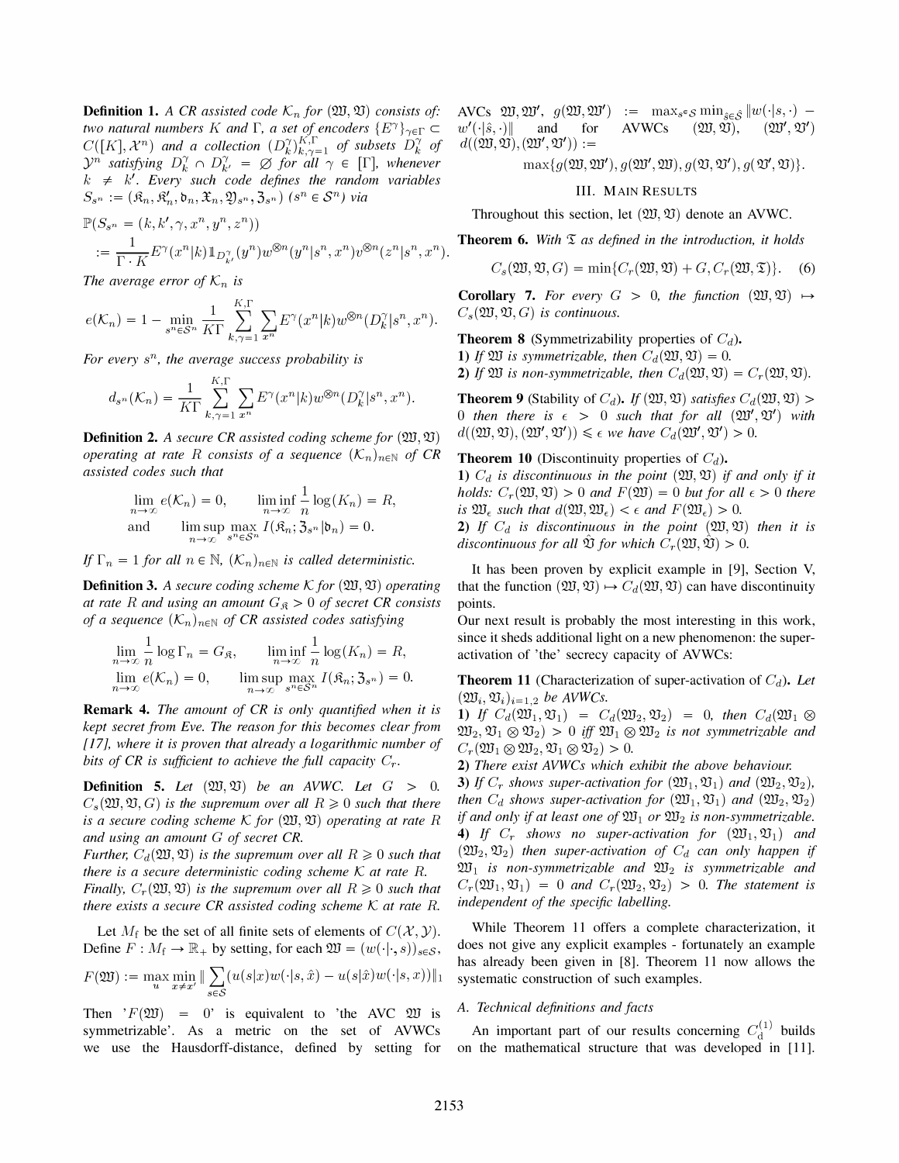**Definition 1.** A CR assisted code  $\mathcal{K}_n$  for  $(\mathfrak{W}, \mathfrak{V})$  consists of: two natural numbers K and  $\Gamma$ , a set of encoders  $\{E^{\gamma}\}_{\gamma \in \Gamma} \subset$  $C([K], \mathcal{X}^n)$  and a collection  $(D_k^{\gamma})_{k,\gamma=1}^{K,\Gamma}$  of subsets  $D_k^{\gamma}$  of  $\mathcal{Y}^n$  satisfying  $D_k^{\gamma} \cap D_{k'}^{\gamma} = \emptyset$  for all  $\gamma \in [\Gamma]$ , whenever  $k \neq k'$ . Every such code defines the random variables  $S_{s^n} := (\hat{\mathfrak{K}}_n, \hat{\mathfrak{K}}'_n, \hat{\mathfrak{b}}_n, \hat{\mathfrak{X}}_n, \hat{\mathfrak{Y}}_s^n, \hat{\mathfrak{Z}}_s^n)$  (sn  $\in \mathcal{S}^n$ ) via

$$
\mathbb{P}(S_{s^n} = (k, k', \gamma, x^n, y^n, z^n))
$$
  
:= 
$$
\frac{1}{\Gamma \cdot K} E^{\gamma}(x^n | k) \mathbb{1}_{D_{k'}^{\gamma}}(y^n) w^{\otimes n}(y^n | s^n, x^n) v^{\otimes n}(z^n | s^n, x^n).
$$

The average error of  $\mathcal{K}_n$  is

$$
e(\mathcal{K}_n) = 1 - \min_{s^n \in \mathcal{S}^n} \frac{1}{K\Gamma} \sum_{k,\gamma=1}^{K,\Gamma} \sum_{x^n} E^\gamma(x^n|k) w^{\otimes n} (D_k^\gamma|s^n,x^n).
$$

For every  $s^n$ , the average success probability is

$$
d_{s^n}(\mathcal{K}_n) = \frac{1}{K\Gamma}\sum_{k,\gamma=1}^{K,\Gamma}\sum_{x^n}E^\gamma(x^n|k)w^{\otimes n}(D_k^\gamma|s^n,x^n).
$$

**Definition 2.** A secure CR assisted coding scheme for  $(\mathfrak{W}, \mathfrak{V})$ operating at rate R consists of a sequence  $(K_n)_{n\in\mathbb{N}}$  of CR assisted codes such that

$$
\lim_{n \to \infty} e(K_n) = 0, \qquad \liminf_{n \to \infty} \frac{1}{n} \log(K_n) = R,
$$
  
and 
$$
\limsup_{n \to \infty} \max_{s^n \in S^n} I(\mathfrak{K}_n; \mathfrak{Z}_{s^n} | \mathfrak{b}_n) = 0.
$$

If  $\Gamma_n = 1$  for all  $n \in \mathbb{N}$ ,  $(\mathcal{K}_n)_{n \in \mathbb{N}}$  is called deterministic.

**Definition 3.** A secure coding scheme K for  $(\mathfrak{W}, \mathfrak{V})$  operating at rate R and using an amount  $G_{\mathfrak{K}} > 0$  of secret CR consists of a sequence  $(K_n)_{n \in \mathbb{N}}$  of CR assisted codes satisfying

$$
\lim_{n \to \infty} \frac{1}{n} \log \Gamma_n = G_{\mathfrak{K}}, \qquad \liminf_{n \to \infty} \frac{1}{n} \log(K_n) = R,
$$
  

$$
\lim_{n \to \infty} e(K_n) = 0, \qquad \limsup_{n \to \infty} \max_{s^n \in S^n} I(\mathfrak{K}_n; \mathfrak{Z}_{s^n}) = 0.
$$

Remark 4. The amount of CR is only quantified when it is kept secret from Eve. The reason for this becomes clear from  $[17]$ , where it is proven that already a logarithmic number of bits of CR is sufficient to achieve the full capacity  $C_r$ .

**Definition 5.** Let  $(\mathfrak{W}, \mathfrak{V})$  be an AVWC. Let  $G > 0$ .  $C_s(\mathfrak{W}, \mathfrak{V}, G)$  is the supremum over all  $R \geq 0$  such that there is a secure coding scheme K for  $(\mathfrak{W},\mathfrak{V})$  operating at rate R and using an amount G of secret CR.

Further,  $C_d(\mathfrak{W}, \mathfrak{V})$  is the supremum over all  $R \geq 0$  such that there is a secure deterministic coding scheme  $K$  at rate  $R$ . Finally,  $C_r(\mathfrak{W},\mathfrak{V})$  is the supremum over all  $R \geq 0$  such that

there exists a secure CR assisted coding scheme  $K$  at rate R.

Let  $M_f$  be the set of all finite sets of elements of  $C(\mathcal{X}, \mathcal{Y})$ . Define  $F: M_f \to \mathbb{R}_+$  by setting, for each  $\mathfrak{W} = (w(\cdot | \cdot, s))_{s \in \mathcal{S}},$ 

$$
F(\mathfrak{W}):=\max_{u}\min_{x\neq x'}\|\sum_{s\in\mathcal{S}}(u(s|x)w(\cdot|s,\hat{x})-u(s|\hat{x})w(\cdot|s,x))\|_1
$$

Then  $F(\mathfrak{W}) = 0$  is equivalent to 'the AVC  $\mathfrak{W}$  is symmetrizable'. As a metric on the set of AVWCs we use the Hausdorff-distance, defined by setting for AVCs  $\mathfrak{W}, \mathfrak{W}', g(\mathfrak{W}, \mathfrak{W}') := \max_{s \in \mathcal{S}} \min_{\tilde{s} \in \mathcal{S}} ||w(\cdot|s, \cdot) - w'(\cdot|\hat{s}, \cdot)||$  and for AVWCs  $(\mathfrak{W}, \mathfrak{V}), (\mathfrak{W}', \mathfrak{V}')$  $w'(\cdot|\hat{s},\cdot)|$  and for  $d((\mathfrak{W}, \mathfrak{V}),(\mathfrak{W}', \mathfrak{V}')) :=$ 

 $\max\{g(\mathfrak{W},\mathfrak{W}'),g(\mathfrak{W}',\mathfrak{W}),g(\mathfrak{V},\mathfrak{V}'),g(\mathfrak{V}',\mathfrak{V})\}.$ 

### III. MAIN RESULTS

Throughout this section, let  $(\mathfrak{W}, \mathfrak{V})$  denote an AVWC.

**Theorem 6.** With  $\Sigma$  as defined in the introduction, it holds

$$
C_s(\mathfrak{W}, \mathfrak{V}, G) = \min\{C_r(\mathfrak{W}, \mathfrak{V}) + G, C_r(\mathfrak{W}, \mathfrak{T})\}.
$$
 (6)

**Corollary 7.** For every  $G > 0$ , the function  $(\mathfrak{W}, \mathfrak{V}) \mapsto$  $C_s(\mathfrak{W}, \mathfrak{V}, G)$  is continuous.

**Theorem 8** (Symmetrizability properties of  $C_d$ ).

1) If  $\mathfrak W$  is symmetrizable, then  $C_d(\mathfrak W, \mathfrak V) = 0$ .

**2)** If 
$$
\mathfrak{W}
$$
 is non-symmetricable, then  $C_d(\mathfrak{W}, \mathfrak{V}) = C_r(\mathfrak{W}, \mathfrak{V})$ .

**Theorem 9** (Stability of  $C_d$ ). If  $(\mathfrak{W}, \mathfrak{V})$  satisfies  $C_d(\mathfrak{W}, \mathfrak{V})$  > 0 then there is  $\epsilon > 0$  such that for all  $(\mathfrak{W}', \mathfrak{V}')$  with  $d((\mathfrak{W}, \mathfrak{V}), (\mathfrak{W}', \mathfrak{V}')) \leq \epsilon$  we have  $C_d(\mathfrak{W}', \mathfrak{V}') > 0$ .

## **Theorem 10** (Discontinuity properties of  $C_d$ ).

1)  $C_d$  is discontinuous in the point  $(\mathfrak{W},\mathfrak{V})$  if and only if it holds:  $C_r(\mathfrak{W},\mathfrak{V}) > 0$  and  $F(\mathfrak{W}) = 0$  but for all  $\epsilon > 0$  there is  $\mathfrak{W}_{\epsilon}$  such that  $d(\mathfrak{W}, \mathfrak{W}_{\epsilon}) < \epsilon$  and  $F(\mathfrak{W}_{\epsilon}) > 0$ .

2) If  $C_d$  is discontinuous in the point  $(\mathfrak{W}, \mathfrak{V})$  then it is discontinuous for all  $\mathfrak V$  for which  $C_r(\mathfrak W, \mathfrak V) > 0$ .

It has been proven by explicit example in [9], Section V, that the function  $(\mathfrak{W}, \mathfrak{V}) \mapsto C_d(\mathfrak{W}, \mathfrak{V})$  can have discontinuity points.

Our next result is probably the most interesting in this work, since it sheds additional light on a new phenomenon: the superactivation of 'the' secrecy capacity of AVWCs:

**Theorem 11** (Characterization of super-activation of  $C_d$ ). Let  $(\mathfrak{W}_i, \mathfrak{V}_i)_{i=1,2}$  be AVWCs.

1) If  $C_d(\mathfrak{W}_1, \mathfrak{V}_1) = C_d(\mathfrak{W}_2, \mathfrak{V}_2) = 0$ , then  $C_d(\mathfrak{W}_1 \otimes$  $\mathfrak{W}_2, \mathfrak{V}_1 \otimes \mathfrak{V}_2$  > 0 iff  $\mathfrak{W}_1 \otimes \mathfrak{W}_2$  is not symmetrizable and  $C_r(\mathfrak{W}_1 \otimes \mathfrak{W}_2, \mathfrak{V}_1 \otimes \mathfrak{V}_2) > 0.$ 

2) There exist AVWCs which exhibit the above behaviour. 3) If  $C_r$  shows super-activation for  $(\mathfrak{W}_1, \mathfrak{V}_1)$  and  $(\mathfrak{W}_2, \mathfrak{V}_2)$ , then  $C_d$  shows super-activation for  $(\mathfrak{W}_1, \mathfrak{V}_1)$  and  $(\mathfrak{W}_2, \mathfrak{V}_2)$ if and only if at least one of  $\mathfrak{W}_1$  or  $\mathfrak{W}_2$  is non-symmetrizable. 4) If  $C_r$  shows no super-activation for  $(\mathfrak{W}_1, \mathfrak{V}_1)$  and  $(\mathfrak{W}_2,\mathfrak{V}_2)$  then super-activation of  $C_d$  can only happen if  $\mathfrak{W}_1$  is non-symmetrizable and  $\mathfrak{W}_2$  is symmetrizable and  $C_r(\mathfrak{W}_1,\mathfrak{V}_1) = 0$  and  $C_r(\mathfrak{W}_2,\mathfrak{V}_2) > 0$ . The statement is independent of the specific labelling.

While Theorem 11 offers a complete characterization, it does not give any explicit examples - fortunately an example has already been given in [8]. Theorem 11 now allows the systematic construction of such examples.

## A. Technical definitions and facts

An important part of our results concerning  $C_d^{(1)}$  builds on the mathematical structure that was developed in [11].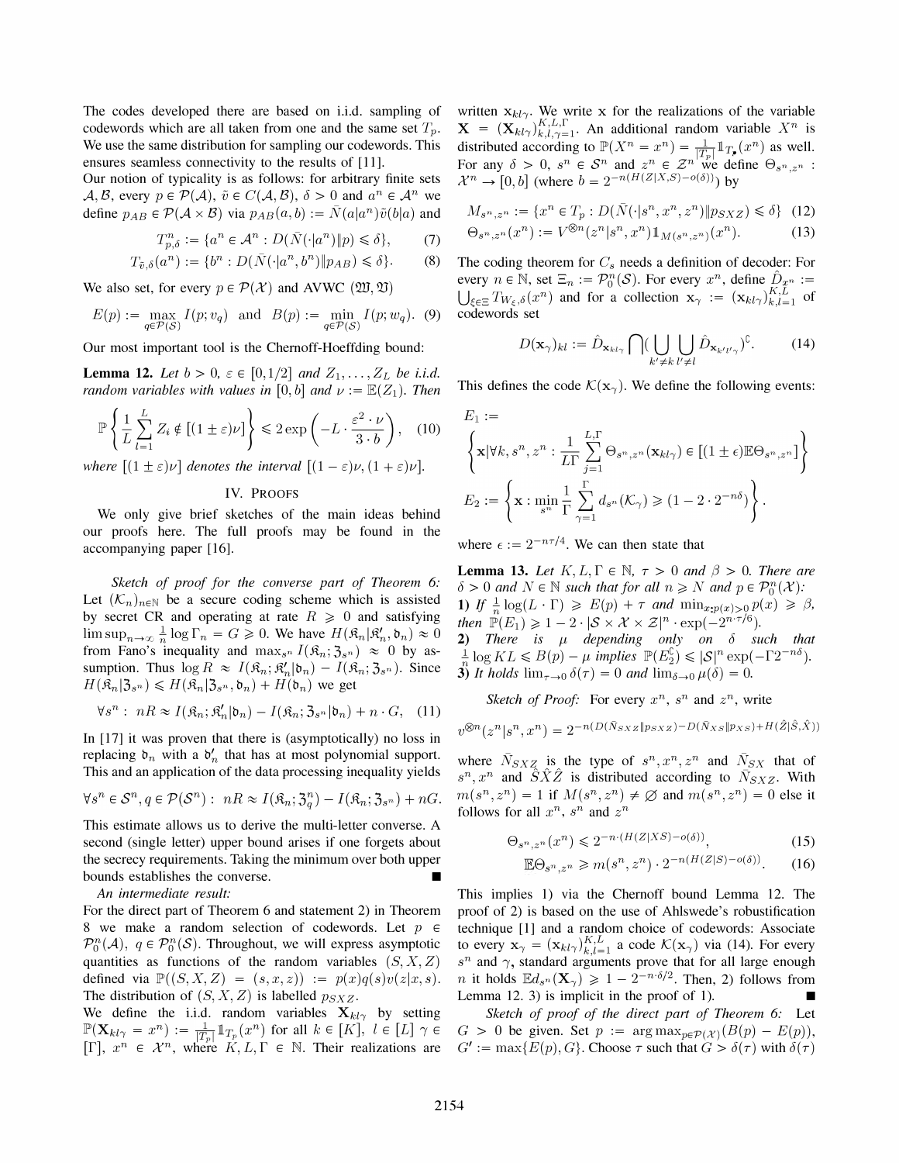The codes developed there are based on i.i.d. sampling of codewords which are all taken from one and the same set  $T_p$ . We use the same distribution for sampling our codewords. This ensures seamless connectivity to the results of [11].

Our notion of typicality is as follows: for arbitrary finite sets  $A, B$ , every  $p \in \mathcal{P}(\mathcal{A}), \tilde{v} \in C(\mathcal{A}, \mathcal{B}), \delta > 0$  and  $a^n \in \mathcal{A}^n$  we define  $p_{AB} \in \mathcal{P}(\mathcal{A} \times \mathcal{B})$  via  $p_{AB}(a, b) := \overline{N}(a|a^n)\tilde{v}(b|a)$  and

$$
T_{p,\delta}^n := \{ a^n \in \mathcal{A}^n : D(\bar{N}(\cdot | a^n) \| p) \leq \delta \},\tag{7}
$$

$$
T_{\tilde{v},\delta}(a^n) := \{b^n : D(\bar{N}(\cdot|a^n,b^n)\|p_{AB}) \leq \delta\}.
$$
 (8)

We also set, for every  $p \in \mathcal{P}(\mathcal{X})$  and AVWC  $(\mathfrak{W}, \mathfrak{V})$ .

$$
E(p) := \max_{q \in \mathcal{P}(\mathcal{S})} I(p; v_q) \text{ and } B(p) := \min_{q \in \mathcal{P}(\mathcal{S})} I(p; w_q). \tag{9}
$$

Our most important tool is the Chernoff-Hoeffding bound:

**Lemma 12.** Let  $b > 0$ ,  $\varepsilon \in [0, 1/2]$  and  $Z_1, \ldots, Z_L$  be i.i.d. random variables with values in [0, b] and  $\nu := \mathbb{E}(Z_1)$ . Then

$$
\mathbb{P}\left\{\frac{1}{L}\sum_{l=1}^{L} Z_i \notin \left[(1\pm\varepsilon)\nu\right]\right\} \leqslant 2\exp\left(-L\cdot\frac{\varepsilon^2\cdot\nu}{3\cdot b}\right),\quad(10)
$$

where  $[(1 \pm \varepsilon)\nu]$  denotes the interval  $[(1-\varepsilon)\nu, (1+\varepsilon)\nu]$ .

## IV. PROOFS

We only give brief sketches of the main ideas behind our proofs here. The full proofs may be found in the accompanying paper [16].

Sketch of proof for the converse part of Theorem 6: Let  $(K_n)_{n \in \mathbb{N}}$  be a secure coding scheme which is assisted by secret CR and operating at rate  $R \ge 0$  and satisfying  $\limsup_{n\to\infty} \frac{1}{n} \log \Gamma_n = G \geqslant 0$ . We have  $H(\mathfrak{K}_n | \mathfrak{K}_n', \mathfrak{b}_n) \approx 0$ from Fano's inequality and  $\max_{s^n} I(\hat{\mathfrak{K}}_n; \mathfrak{Z}_s) \approx 0$  by assumption. Thus  $\log R \approx I(\mathfrak{K}_n; \mathfrak{K}'_n | \mathfrak{b}_n) - I(\mathfrak{K}_n; \mathfrak{Z}_{s^n})$ . Since  $H(\mathfrak{K}_n | \mathfrak{Z}_{s^n}) \leq H(\mathfrak{K}_n | \mathfrak{Z}_{s^n}, \mathfrak{d}_n) + H(\mathfrak{b}_n)$  we get

$$
\forall s^{n} : nR \approx I(\mathfrak{K}_{n}; \mathfrak{K}_{n}'|\mathfrak{b}_{n}) - I(\mathfrak{K}_{n}; \mathfrak{Z}_{s^{n}}|\mathfrak{b}_{n}) + n \cdot G, \quad (11)
$$

In [17] it was proven that there is (asymptotically) no loss in replacing  $\mathfrak{d}_n$  with a  $\mathfrak{d}'_n$  that has at most polynomial support. This and an application of the data processing inequality yields

$$
\forall s^{n} \in \mathcal{S}^{n}, q \in \mathcal{P}(\mathcal{S}^{n}): nR \approx I(\mathfrak{K}_{n}; \mathfrak{Z}_{q}^{n}) - I(\mathfrak{K}_{n}; \mathfrak{Z}_{s^{n}}) + nG.
$$

This estimate allows us to derive the multi-letter converse. A second (single letter) upper bound arises if one forgets about the secrecy requirements. Taking the minimum over both upper bounds establishes the converse.

An intermediate result:

For the direct part of Theorem 6 and statement 2) in Theorem 8 we make a random selection of codewords. Let  $p \in$  $\mathcal{P}_0^n(\mathcal{A}), q \in \mathcal{P}_0^n(\mathcal{S})$ . Throughout, we will express asymptotic quantities as functions of the random variables  $(S, X, Z)$ defined via  $\mathbb{P}((S, X, Z) = (s, x, z)) := p(x)q(s)v(z|x, s).$ The distribution of  $(S, X, Z)$  is labelled  $p_{S X Z}$ .

We define the i.i.d. random variables  $X_{kl}$  by setting  $\mathbb{P}(\mathbf{X}_{kl\gamma} = x^n) := \frac{1}{|I_p|} \mathbb{1}_{T_p}(x^n)$  for all  $k \in [K]$ ,  $l \in [L]$   $\gamma \in$ <br> $\mathbb{P}[\Gamma]$   $\longrightarrow$   $\mathbb{P}[\Gamma]$   $\longrightarrow$   $\mathbb{P}[\Gamma]$   $\longrightarrow$   $\mathbb{P}[\Gamma]$   $\longrightarrow$   $\mathbb{P}[\Gamma]$   $\longrightarrow$   $\mathbb{P}[\Gamma]$   $\longrightarrow$   $\mathbb{P}[\Gamma]$   $\longrightarrow$   $\mathbb{P}[\Gamma]$   $\longrightarrow$   $\mathbb{$  $[\Gamma], x^n \in \mathcal{X}^n$ , where  $K, L, \Gamma \in \mathbb{N}$ . Their realizations are

written  $x_{kl}$ . We write x for the realizations of the variable  $X = (X_{kl\gamma})_{k,l,\gamma=1}^{K,L,\Gamma}$ . An additional random variable  $X^n$  is distributed according to  $\mathbb{P}(X^n = x^n) = \frac{1}{|T_p|} \mathbb{1}_{T_p}(x^n)$  as well. For any  $\delta > 0$ ,  $s^n \in S^n$  and  $z^n \in \mathcal{Z}^n$  we define  $\Theta_{s^n, z^n}$ :  $\mathcal{X}^n \to [0, b]$  (where  $b = 2^{-n(H(Z|X, S) - o(\delta))})$  by

$$
M_{s^n, z^n} := \{ x^n \in T_p : D(\bar{N}(\cdot | s^n, x^n, z^n) \| p_{S X Z}) \leq \delta \} \tag{12}
$$

$$
\Theta_{s^n, z^n}(x^n) := V^{\otimes n}(z^n | s^n, x^n) 1\!\!1_{M(s^n, z^n)}(x^n). \tag{13}
$$

The coding theorem for  $C_s$  needs a definition of decoder: For every  $n \in \mathbb{N}$ , set  $\Xi_n := \mathcal{P}_0^n(\mathcal{S})$ . For every  $x^n$ , define  $\hat{D}_{x^n} :=$  $\bigcup_{\xi \in \Xi} T_{W_{\xi},\delta}(x^n)$  and for a collection  $\mathbf{x}_{\gamma} := (\mathbf{x}_{kl\gamma})_{k,l=1}^{K,L}$  of codewords set

$$
D(\mathbf{x}_{\gamma})_{kl} := \hat{D}_{\mathbf{x}_{kl\gamma}} \bigcap (\bigcup_{k' \neq k} \bigcup_{l' \neq l} \hat{D}_{\mathbf{x}_{k'l'\gamma}})^{\complement}.
$$
 (14)

This defines the code  $\mathcal{K}(\mathbf{x}_\gamma)$ . We define the following events:

$$
E_1 := \left\{ \mathbf{x} | \forall k, s^n, z^n : \frac{1}{L\Gamma} \sum_{j=1}^{L,\Gamma} \Theta_{s^n, z^n}(\mathbf{x}_{kl\gamma}) \in [(1 \pm \epsilon) \mathbb{E} \Theta_{s^n, z^n}] \right\}
$$
  

$$
E_2 := \left\{ \mathbf{x} : \min_{s^n} \frac{1}{\Gamma} \sum_{\gamma=1}^{\Gamma} d_{s^n}(K_{\gamma}) \geq (1 - 2 \cdot 2^{-n\delta}) \right\}.
$$

where  $\epsilon := 2^{-n\tau/4}$ . We can then state that

**Lemma 13.** Let  $K, L, \Gamma \in \mathbb{N}$ ,  $\tau > 0$  and  $\beta > 0$ . There are  $\delta > 0$  and  $N \in \mathbb{N}$  such that for all  $n \ge N$  and  $p \in \mathcal{P}_0^n(\mathcal{X})$ : 1) If  $\frac{1}{n} \log(L \cdot \Gamma) \ge E(p) + \tau$  and  $\min_{x: p(x) > 0} p(x) \ge \beta$ , then  $\mathbb{P}(E_1) \geq 1 - 2 \cdot |\mathcal{S} \times \mathcal{X} \times \mathcal{Z}|^n \cdot \exp(-2^{n \cdot \tau/6}).$ 2) There is  $\mu$  depending only on  $\delta$  such that  $\frac{1}{n} \log KL \leq B(p) - \mu$  implies  $\mathbb{P}(E_2^c) \leq |\mathcal{S}|^n \exp(-\Gamma 2^{-n\delta}).$ 3) It holds  $\lim_{\tau \to 0} \delta(\tau) = 0$  and  $\lim_{\delta \to 0} \mu(\delta) = 0$ .

Sketch of Proof: For every  $x^n$ ,  $s^n$  and  $z^n$ , write

$$
v^{\otimes n}(z^n|s^n, x^n) = 2^{-n(D(\bar{N}_{SXS}||p_{SXS}) - D(\bar{N}_{XS}||p_{XS}) + H(\hat{Z}|\hat{S},\hat{X}))}
$$

where  $\bar{N}_{S X Z}$  is the type of  $s^n, x^n, z^n$  and  $\bar{N}_{S X}$  that of  $s^n, x^n$  and  $\hat{S}\hat{X}\hat{Z}$  is distributed according to  $\bar{N}_{S}^{S}$ . With  $m(s^n, z^n) = 1$  if  $M(s^n, z^n) \neq \emptyset$  and  $m(s^n, z^n) = 0$  else it follows for all  $x^n$ ,  $s^n$  and  $z^n$ 

$$
\Theta_{s^n, z^n}(x^n) \leq 2^{-n \cdot (H(Z|XS) - o(\delta))},\tag{15}
$$

$$
\mathbb{E}\Theta_{s^n,z^n} \geq m(s^n,z^n) \cdot 2^{-n(H(Z|S)-o(\delta))}.\tag{16}
$$

This implies 1) via the Chernoff bound Lemma 12. The proof of 2) is based on the use of Ahlswede's robustification technique [1] and a random choice of codewords: Associate to every  $\mathbf{x}_{\gamma} = (\mathbf{x}_{kl\gamma})_{k,l=1}^{K,L}$  a code  $\mathcal{K}(\mathbf{x}_{\gamma})$  via (14). For every  $s^n$  and  $\gamma$ , standard arguments prove that for all large enough *n* it holds  $\mathbb{E}d_{s^n}(\mathbf{X}_{\gamma}) \geq 1 - 2^{-n \cdot \delta/2}$ . Then, 2) follows from Lemma 12. 3) is implicit in the proof of 1).

Sketch of proof of the direct part of Theorem 6: Let  $G > 0$  be given. Set  $p := \arg \max_{p \in \mathcal{P}(\mathcal{X})} (B(p) - E(p)),$  $G' := \max\{E(p), G\}$ . Choose  $\tau$  such that  $G > \delta(\tau)$  with  $\delta(\tau)$